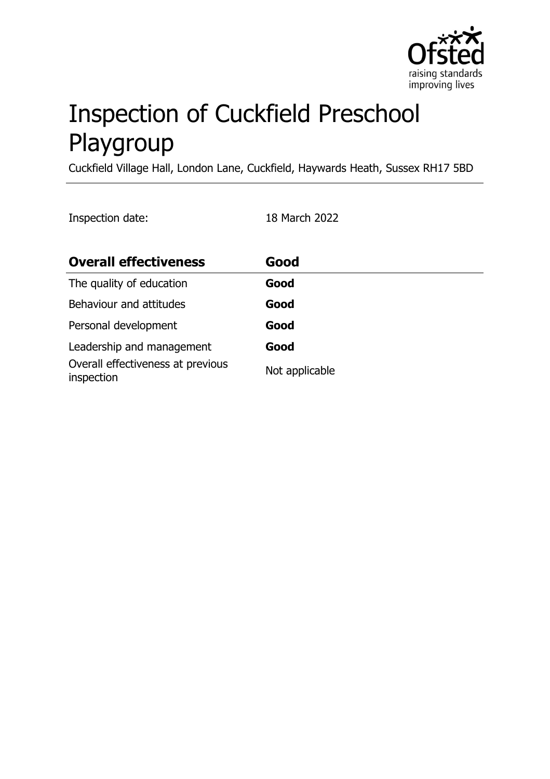

# Inspection of Cuckfield Preschool Playgroup

Cuckfield Village Hall, London Lane, Cuckfield, Haywards Heath, Sussex RH17 5BD

Inspection date: 18 March 2022

| <b>Overall effectiveness</b>                    | Good           |
|-------------------------------------------------|----------------|
| The quality of education                        | Good           |
| Behaviour and attitudes                         | Good           |
| Personal development                            | Good           |
| Leadership and management                       | Good           |
| Overall effectiveness at previous<br>inspection | Not applicable |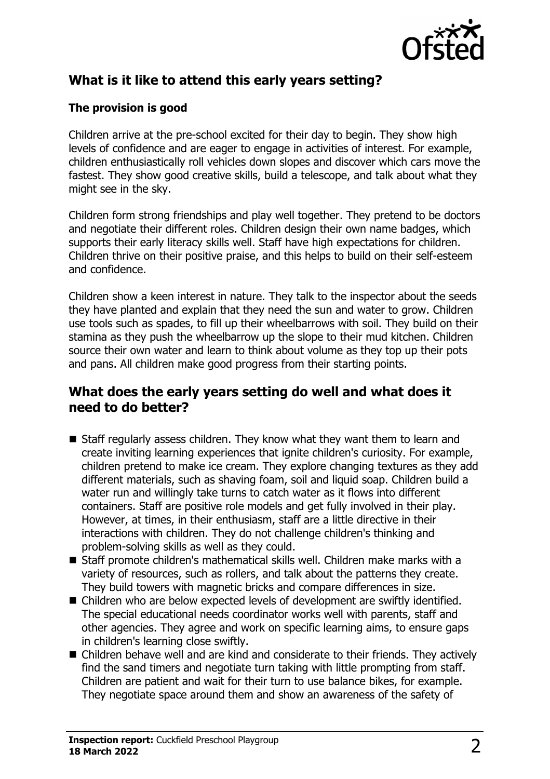

# **What is it like to attend this early years setting?**

#### **The provision is good**

Children arrive at the pre-school excited for their day to begin. They show high levels of confidence and are eager to engage in activities of interest. For example, children enthusiastically roll vehicles down slopes and discover which cars move the fastest. They show good creative skills, build a telescope, and talk about what they might see in the sky.

Children form strong friendships and play well together. They pretend to be doctors and negotiate their different roles. Children design their own name badges, which supports their early literacy skills well. Staff have high expectations for children. Children thrive on their positive praise, and this helps to build on their self-esteem and confidence.

Children show a keen interest in nature. They talk to the inspector about the seeds they have planted and explain that they need the sun and water to grow. Children use tools such as spades, to fill up their wheelbarrows with soil. They build on their stamina as they push the wheelbarrow up the slope to their mud kitchen. Children source their own water and learn to think about volume as they top up their pots and pans. All children make good progress from their starting points.

### **What does the early years setting do well and what does it need to do better?**

- $\blacksquare$  Staff regularly assess children. They know what they want them to learn and create inviting learning experiences that ignite children's curiosity. For example, children pretend to make ice cream. They explore changing textures as they add different materials, such as shaving foam, soil and liquid soap. Children build a water run and willingly take turns to catch water as it flows into different containers. Staff are positive role models and get fully involved in their play. However, at times, in their enthusiasm, staff are a little directive in their interactions with children. They do not challenge children's thinking and problem-solving skills as well as they could.
- $\blacksquare$  Staff promote children's mathematical skills well. Children make marks with a variety of resources, such as rollers, and talk about the patterns they create. They build towers with magnetic bricks and compare differences in size.
- $\blacksquare$  Children who are below expected levels of development are swiftly identified. The special educational needs coordinator works well with parents, staff and other agencies. They agree and work on specific learning aims, to ensure gaps in children's learning close swiftly.
- Children behave well and are kind and considerate to their friends. They actively find the sand timers and negotiate turn taking with little prompting from staff. Children are patient and wait for their turn to use balance bikes, for example. They negotiate space around them and show an awareness of the safety of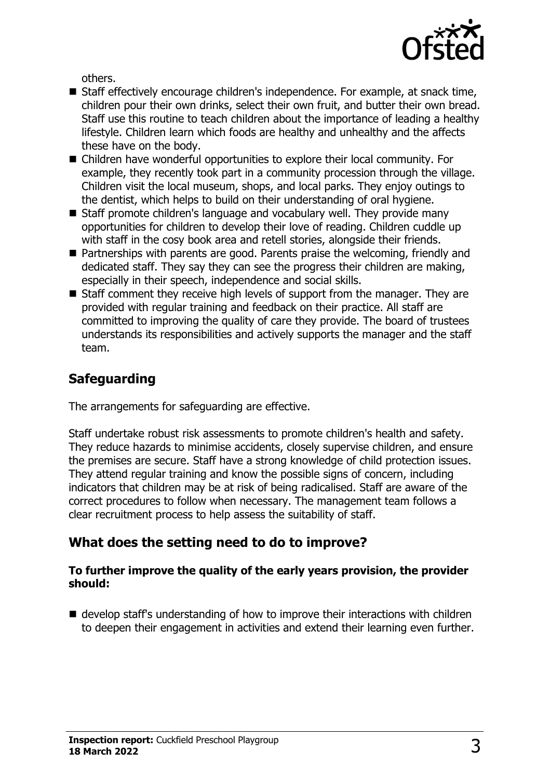

others.

- Staff effectively encourage children's independence. For example, at snack time, children pour their own drinks, select their own fruit, and butter their own bread. Staff use this routine to teach children about the importance of leading a healthy lifestyle. Children learn which foods are healthy and unhealthy and the affects these have on the body.
- $\blacksquare$  Children have wonderful opportunities to explore their local community. For example, they recently took part in a community procession through the village. Children visit the local museum, shops, and local parks. They enjoy outings to the dentist, which helps to build on their understanding of oral hygiene.
- Staff promote children's language and vocabulary well. They provide many opportunities for children to develop their love of reading. Children cuddle up with staff in the cosy book area and retell stories, alongside their friends.
- $\blacksquare$  Partnerships with parents are good. Parents praise the welcoming, friendly and dedicated staff. They say they can see the progress their children are making, especially in their speech, independence and social skills.
- $\blacksquare$  Staff comment they receive high levels of support from the manager. They are provided with regular training and feedback on their practice. All staff are committed to improving the quality of care they provide. The board of trustees understands its responsibilities and actively supports the manager and the staff team.

# **Safeguarding**

The arrangements for safeguarding are effective.

Staff undertake robust risk assessments to promote children's health and safety. They reduce hazards to minimise accidents, closely supervise children, and ensure the premises are secure. Staff have a strong knowledge of child protection issues. They attend regular training and know the possible signs of concern, including indicators that children may be at risk of being radicalised. Staff are aware of the correct procedures to follow when necessary. The management team follows a clear recruitment process to help assess the suitability of staff.

# **What does the setting need to do to improve?**

#### **To further improve the quality of the early years provision, the provider should:**

 $\blacksquare$  develop staff's understanding of how to improve their interactions with children to deepen their engagement in activities and extend their learning even further.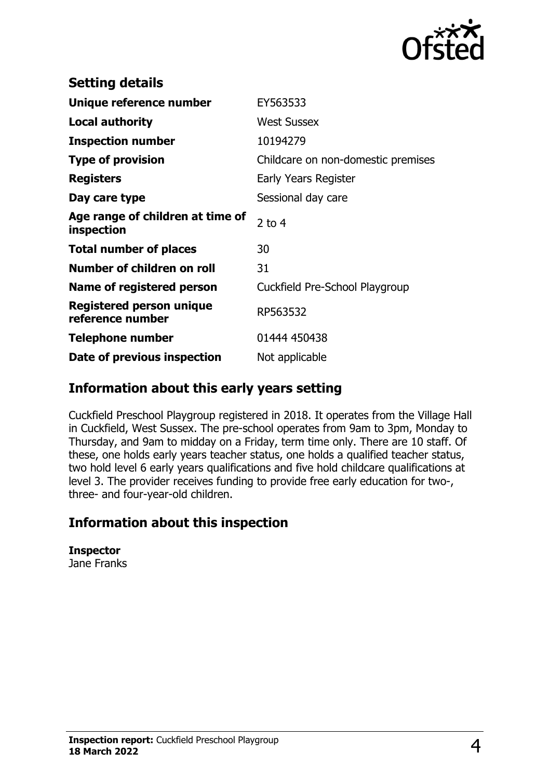

| <b>Setting details</b>                              |                                    |
|-----------------------------------------------------|------------------------------------|
| Unique reference number                             | EY563533                           |
| <b>Local authority</b>                              | <b>West Sussex</b>                 |
| <b>Inspection number</b>                            | 10194279                           |
| <b>Type of provision</b>                            | Childcare on non-domestic premises |
| <b>Registers</b>                                    | Early Years Register               |
| Day care type                                       | Sessional day care                 |
| Age range of children at time of<br>inspection      | $2$ to 4                           |
| <b>Total number of places</b>                       | 30                                 |
| Number of children on roll                          | 31                                 |
| Name of registered person                           | Cuckfield Pre-School Playgroup     |
| <b>Registered person unique</b><br>reference number | RP563532                           |
| <b>Telephone number</b>                             | 01444 450438                       |
| Date of previous inspection                         | Not applicable                     |

# **Information about this early years setting**

Cuckfield Preschool Playgroup registered in 2018. It operates from the Village Hall in Cuckfield, West Sussex. The pre-school operates from 9am to 3pm, Monday to Thursday, and 9am to midday on a Friday, term time only. There are 10 staff. Of these, one holds early years teacher status, one holds a qualified teacher status, two hold level 6 early years qualifications and five hold childcare qualifications at level 3. The provider receives funding to provide free early education for two-, three- and four-year-old children.

# **Information about this inspection**

**Inspector** Jane Franks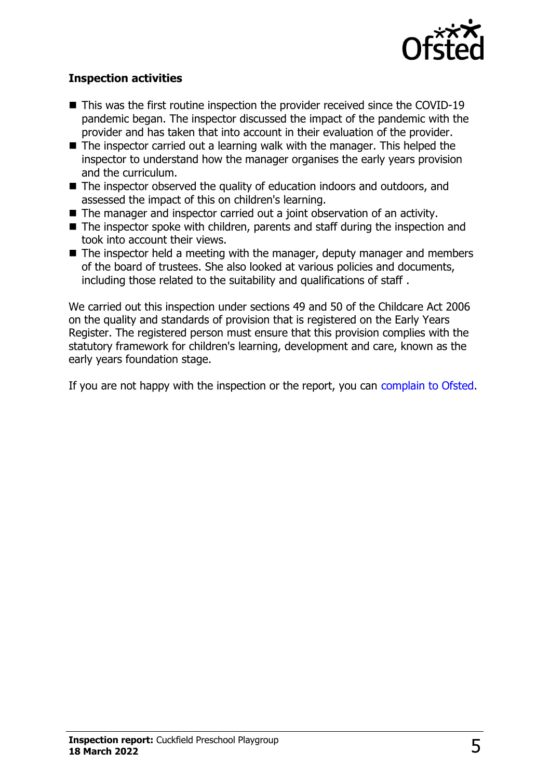

#### **Inspection activities**

- $\blacksquare$  This was the first routine inspection the provider received since the COVID-19 pandemic began. The inspector discussed the impact of the pandemic with the provider and has taken that into account in their evaluation of the provider.
- $\blacksquare$  The inspector carried out a learning walk with the manager. This helped the inspector to understand how the manager organises the early years provision and the curriculum.
- The inspector observed the quality of education indoors and outdoors, and assessed the impact of this on children's learning.
- $\blacksquare$  The manager and inspector carried out a joint observation of an activity.
- $\blacksquare$  The inspector spoke with children, parents and staff during the inspection and took into account their views.
- $\blacksquare$  The inspector held a meeting with the manager, deputy manager and members of the board of trustees. She also looked at various policies and documents, including those related to the suitability and qualifications of staff .

We carried out this inspection under sections 49 and 50 of the Childcare Act 2006 on the quality and standards of provision that is registered on the Early Years Register. The registered person must ensure that this provision complies with the statutory framework for children's learning, development and care, known as the early years foundation stage.

If you are not happy with the inspection or the report, you can [complain to Ofsted](http://www.gov.uk/complain-ofsted-report).